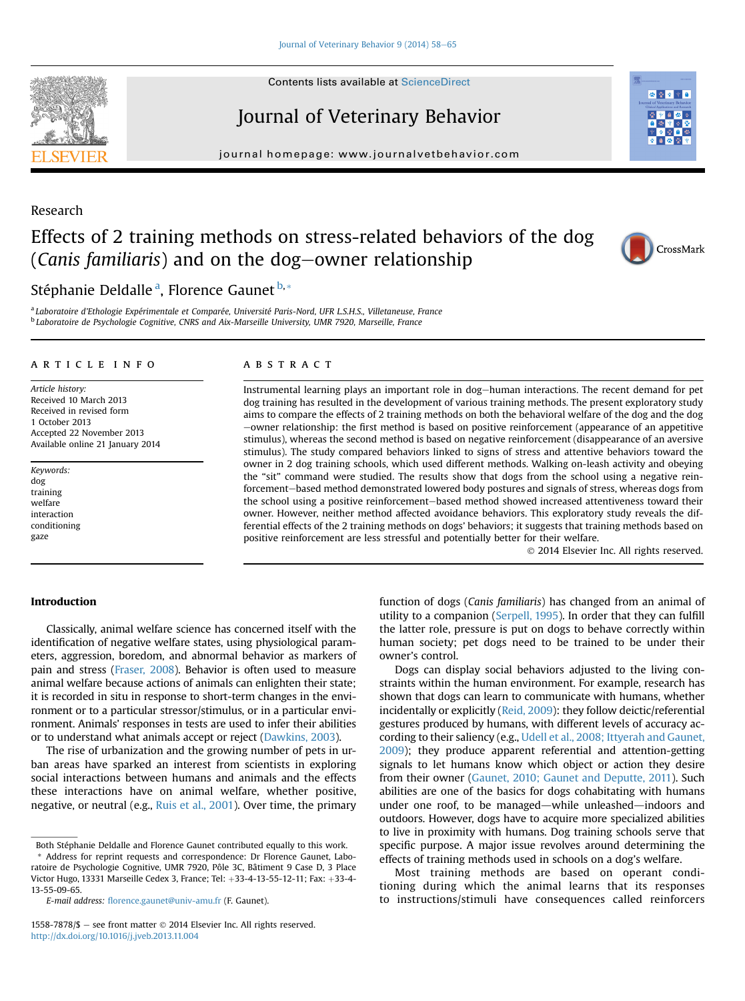**Contents lists available at ScienceDirect** 

# Journal of Veterinary Behavior

journal homepage: [www.journalvetbehavior.com](http://www.journalvetbehavior.com)

# Research

# Effects of 2 training methods on stress-related behaviors of the dog (Canis familiaris) and on the dog-owner relationship

Stéphanie Deldalle<sup>a</sup>, Florence Gaunet <sup>b,\*</sup>

<sup>a</sup> Laboratoire d'Ethologie Expérimentale et Comparée, Université Paris-Nord, UFR L.S.H.S., Villetaneuse, France <sup>b</sup> Laboratoire de Psychologie Cognitive, CNRS and Aix-Marseille University, UMR 7920, Marseille, France

# article info

Article history: Received 10 March 2013 Received in revised form 1 October 2013 Accepted 22 November 2013 Available online 21 January 2014

Keywords: dog training welfare interaction conditioning gaze

# **ABSTRACT**

Instrumental learning plays an important role in dog-human interactions. The recent demand for pet dog training has resulted in the development of various training methods. The present exploratory study aims to compare the effects of 2 training methods on both the behavioral welfare of the dog and the dog  $-$ owner relationship: the first method is based on positive reinforcement (appearance of an appetitive stimulus), whereas the second method is based on negative reinforcement (disappearance of an aversive stimulus). The study compared behaviors linked to signs of stress and attentive behaviors toward the owner in 2 dog training schools, which used different methods. Walking on-leash activity and obeying the "sit" command were studied. The results show that dogs from the school using a negative reinforcement-based method demonstrated lowered body postures and signals of stress, whereas dogs from the school using a positive reinforcement-based method showed increased attentiveness toward their owner. However, neither method affected avoidance behaviors. This exploratory study reveals the differential effects of the 2 training methods on dogs' behaviors; it suggests that training methods based on positive reinforcement are less stressful and potentially better for their welfare.

2014 Elsevier Inc. All rights reserved.

## Introduction

Classically, animal welfare science has concerned itself with the identification of negative welfare states, using physiological parameters, aggression, boredom, and abnormal behavior as markers of pain and stress ([Fraser, 2008\)](#page-7-0). Behavior is often used to measure animal welfare because actions of animals can enlighten their state; it is recorded in situ in response to short-term changes in the environment or to a particular stressor/stimulus, or in a particular environment. Animals' responses in tests are used to infer their abilities or to understand what animals accept or reject [\(Dawkins, 2003](#page-7-0)).

The rise of urbanization and the growing number of pets in urban areas have sparked an interest from scientists in exploring social interactions between humans and animals and the effects these interactions have on animal welfare, whether positive, negative, or neutral (e.g., [Ruis et al., 2001\)](#page-7-0). Over time, the primary

Address for reprint requests and correspondence: Dr Florence Gaunet, Laboratoire de Psychologie Cognitive, UMR 7920, Pôle 3C, Bâtiment 9 Case D, 3 Place Victor Hugo, 13331 Marseille Cedex 3, France: Tel:  $+33-4-13-55-12-11$ ; Fax:  $+33-4-$ 13-55-09-65.

E-mail address: fl[orence.gaunet@univ-amu.fr](mailto:florence.gaunet@univ-amu.fr) (F. Gaunet).

function of dogs (Canis familiaris) has changed from an animal of utility to a companion ([Serpell, 1995](#page-7-0)). In order that they can fulfill the latter role, pressure is put on dogs to behave correctly within human society; pet dogs need to be trained to be under their owner's control.

Dogs can display social behaviors adjusted to the living constraints within the human environment. For example, research has shown that dogs can learn to communicate with humans, whether incidentally or explicitly [\(Reid, 2009](#page-7-0)): they follow deictic/referential gestures produced by humans, with different levels of accuracy according to their saliency (e.g., [Udell et al., 2008; Ittyerah and Gaunet,](#page-7-0) [2009\)](#page-7-0); they produce apparent referential and attention-getting signals to let humans know which object or action they desire from their owner [\(Gaunet, 2010; Gaunet and Deputte, 2011\)](#page-7-0). Such abilities are one of the basics for dogs cohabitating with humans under one roof, to be managed—while unleashed—indoors and outdoors. However, dogs have to acquire more specialized abilities to live in proximity with humans. Dog training schools serve that specific purpose. A major issue revolves around determining the effects of training methods used in schools on a dog's welfare.

Most training methods are based on operant conditioning during which the animal learns that its responses to instructions/stimuli have consequences called reinforcers





あめる

Both Stéphanie Deldalle and Florence Gaunet contributed equally to this work.

<sup>1558-7878/\$</sup>  $-$  see front matter  $\odot$  2014 Elsevier Inc. All rights reserved. <http://dx.doi.org/10.1016/j.jveb.2013.11.004>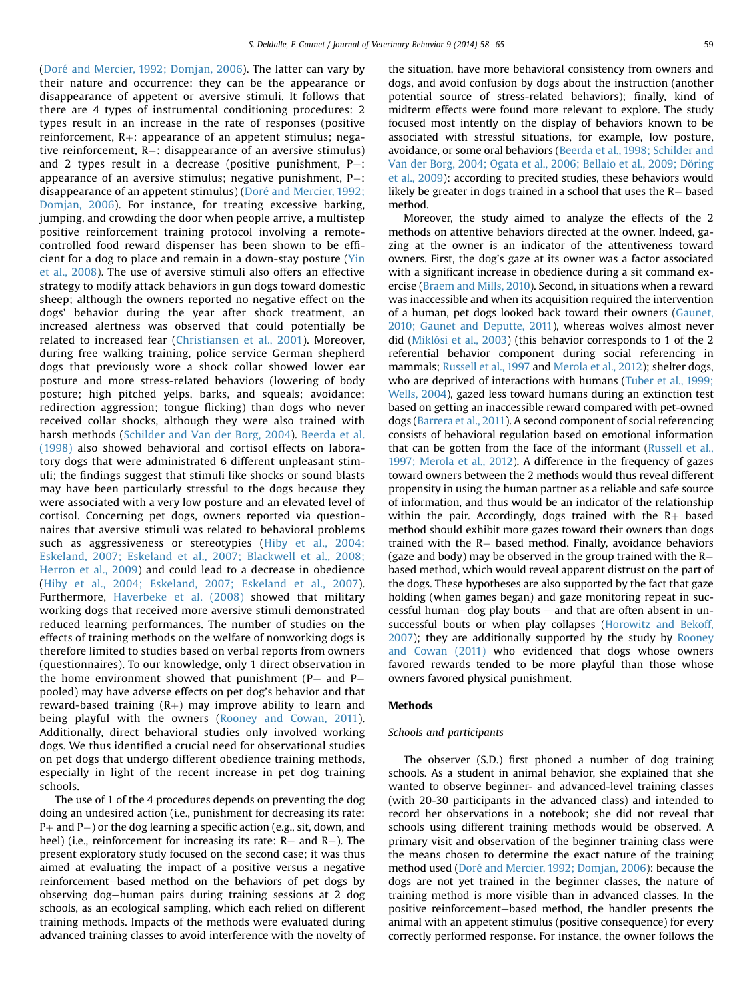([Doré and Mercier, 1992; Domjan, 2006\)](#page-7-0). The latter can vary by their nature and occurrence: they can be the appearance or disappearance of appetent or aversive stimuli. It follows that there are 4 types of instrumental conditioning procedures: 2 types result in an increase in the rate of responses (positive reinforcement,  $R+$ : appearance of an appetent stimulus; negative reinforcement, R-: disappearance of an aversive stimulus) and 2 types result in a decrease (positive punishment,  $P+$ : appearance of an aversive stimulus; negative punishment, P-: disappearance of an appetent stimulus) [\(Doré and Mercier, 1992;](#page-7-0) [Domjan, 2006\)](#page-7-0). For instance, for treating excessive barking, jumping, and crowding the door when people arrive, a multistep positive reinforcement training protocol involving a remotecontrolled food reward dispenser has been shown to be efficient for a dog to place and remain in a down-stay posture ([Yin](#page-7-0) [et al., 2008](#page-7-0)). The use of aversive stimuli also offers an effective strategy to modify attack behaviors in gun dogs toward domestic sheep; although the owners reported no negative effect on the dogs' behavior during the year after shock treatment, an increased alertness was observed that could potentially be related to increased fear [\(Christiansen et al., 2001](#page-7-0)). Moreover, during free walking training, police service German shepherd dogs that previously wore a shock collar showed lower ear posture and more stress-related behaviors (lowering of body posture; high pitched yelps, barks, and squeals; avoidance; redirection aggression; tongue flicking) than dogs who never received collar shocks, although they were also trained with harsh methods ([Schilder and Van der Borg, 2004](#page-7-0)). [Beerda et al.](#page-7-0) [\(1998\)](#page-7-0) also showed behavioral and cortisol effects on laboratory dogs that were administrated 6 different unpleasant stimuli; the findings suggest that stimuli like shocks or sound blasts may have been particularly stressful to the dogs because they were associated with a very low posture and an elevated level of cortisol. Concerning pet dogs, owners reported via questionnaires that aversive stimuli was related to behavioral problems such as aggressiveness or stereotypies [\(Hiby et al., 2004;](#page-7-0) [Eskeland, 2007; Eskeland et al., 2007; Blackwell et al., 2008;](#page-7-0) [Herron et al., 2009\)](#page-7-0) and could lead to a decrease in obedience ([Hiby et al., 2004; Eskeland, 2007; Eskeland et al., 2007](#page-7-0)). Furthermore, [Haverbeke et al. \(2008\)](#page-7-0) showed that military working dogs that received more aversive stimuli demonstrated reduced learning performances. The number of studies on the effects of training methods on the welfare of nonworking dogs is therefore limited to studies based on verbal reports from owners (questionnaires). To our knowledge, only 1 direct observation in the home environment showed that punishment  $(P+$  and  $P$ pooled) may have adverse effects on pet dog's behavior and that reward-based training  $(R+)$  may improve ability to learn and being playful with the owners [\(Rooney and Cowan, 2011](#page-7-0)). Additionally, direct behavioral studies only involved working dogs. We thus identified a crucial need for observational studies on pet dogs that undergo different obedience training methods, especially in light of the recent increase in pet dog training schools.

The use of 1 of the 4 procedures depends on preventing the dog doing an undesired action (i.e., punishment for decreasing its rate: P+ and P-) or the dog learning a specific action (e.g., sit, down, and heel) (i.e., reinforcement for increasing its rate:  $R+$  and  $R-$ ). The present exploratory study focused on the second case; it was thus aimed at evaluating the impact of a positive versus a negative reinforcement-based method on the behaviors of pet dogs by observing dog-human pairs during training sessions at 2 dog schools, as an ecological sampling, which each relied on different training methods. Impacts of the methods were evaluated during advanced training classes to avoid interference with the novelty of

the situation, have more behavioral consistency from owners and dogs, and avoid confusion by dogs about the instruction (another potential source of stress-related behaviors); finally, kind of midterm effects were found more relevant to explore. The study focused most intently on the display of behaviors known to be associated with stressful situations, for example, low posture, avoidance, or some oral behaviors ([Beerda et al., 1998; Schilder and](#page-7-0) [Van der Borg, 2004; Ogata et al., 2006; Bellaio et al., 2009; Döring](#page-7-0) [et al., 2009\)](#page-7-0): according to precited studies, these behaviors would likely be greater in dogs trained in a school that uses the  $\mathsf{R}-$  based method.

Moreover, the study aimed to analyze the effects of the 2 methods on attentive behaviors directed at the owner. Indeed, gazing at the owner is an indicator of the attentiveness toward owners. First, the dog's gaze at its owner was a factor associated with a significant increase in obedience during a sit command exercise [\(Braem and Mills, 2010\)](#page-7-0). Second, in situations when a reward was inaccessible and when its acquisition required the intervention of a human, pet dogs looked back toward their owners ([Gaunet,](#page-7-0) [2010; Gaunet and Deputte, 2011](#page-7-0)), whereas wolves almost never did ([Miklósi et al., 2003](#page-7-0)) (this behavior corresponds to 1 of the 2 referential behavior component during social referencing in mammals; [Russell et al., 1997](#page-7-0) and [Merola et al., 2012\)](#page-7-0); shelter dogs, who are deprived of interactions with humans ([Tuber et al., 1999;](#page-7-0) [Wells, 2004](#page-7-0)), gazed less toward humans during an extinction test based on getting an inaccessible reward compared with pet-owned dogs ([Barrera et al., 2011\)](#page-7-0). A second component of social referencing consists of behavioral regulation based on emotional information that can be gotten from the face of the informant [\(Russell et al.,](#page-7-0) [1997; Merola et al., 2012\)](#page-7-0). A difference in the frequency of gazes toward owners between the 2 methods would thus reveal different propensity in using the human partner as a reliable and safe source of information, and thus would be an indicator of the relationship within the pair. Accordingly, dogs trained with the  $R_+$  based method should exhibit more gazes toward their owners than dogs trained with the R- based method. Finally, avoidance behaviors (gaze and body) may be observed in the group trained with the  $R$ based method, which would reveal apparent distrust on the part of the dogs. These hypotheses are also supported by the fact that gaze holding (when games began) and gaze monitoring repeat in successful human-dog play bouts  $-$  and that are often absent in unsuccessful bouts or when play collapses [\(Horowitz and Bekoff,](#page-7-0) [2007](#page-7-0)); they are additionally supported by the study by [Rooney](#page-7-0) [and Cowan \(2011\)](#page-7-0) who evidenced that dogs whose owners favored rewards tended to be more playful than those whose owners favored physical punishment.

### Methods

# Schools and participants

The observer (S.D.) first phoned a number of dog training schools. As a student in animal behavior, she explained that she wanted to observe beginner- and advanced-level training classes (with 20-30 participants in the advanced class) and intended to record her observations in a notebook; she did not reveal that schools using different training methods would be observed. A primary visit and observation of the beginner training class were the means chosen to determine the exact nature of the training method used ([Doré and Mercier, 1992; Domjan, 2006\)](#page-7-0): because the dogs are not yet trained in the beginner classes, the nature of training method is more visible than in advanced classes. In the positive reinforcement-based method, the handler presents the animal with an appetent stimulus (positive consequence) for every correctly performed response. For instance, the owner follows the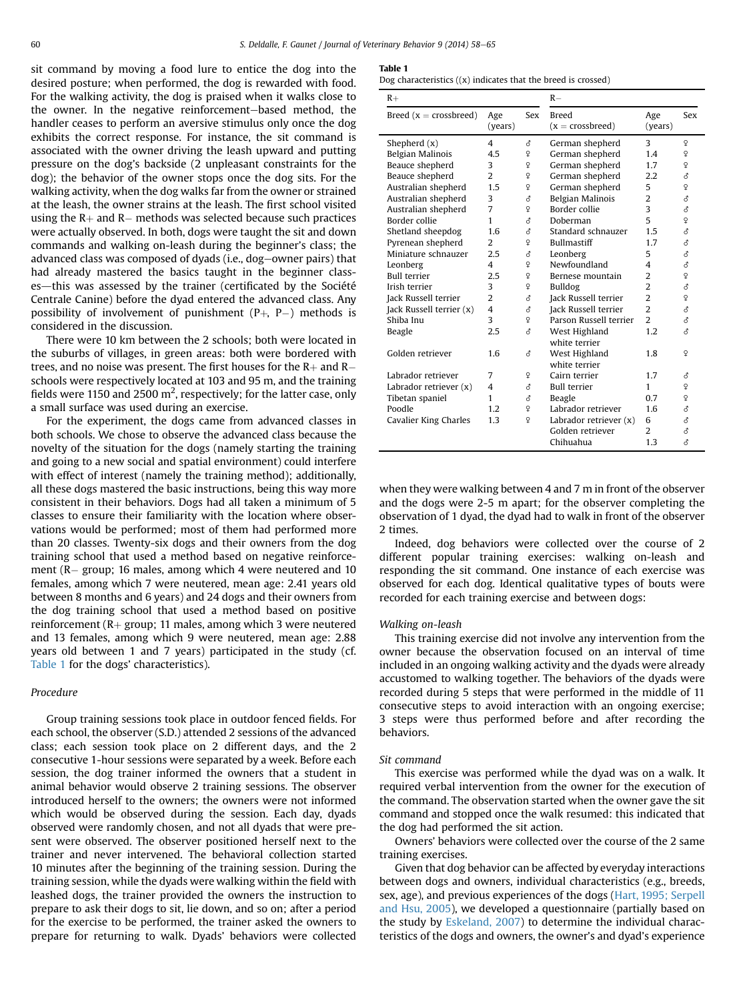sit command by moving a food lure to entice the dog into the desired posture; when performed, the dog is rewarded with food. For the walking activity, the dog is praised when it walks close to the owner. In the negative reinforcement-based method, the handler ceases to perform an aversive stimulus only once the dog exhibits the correct response. For instance, the sit command is associated with the owner driving the leash upward and putting pressure on the dog's backside (2 unpleasant constraints for the dog); the behavior of the owner stops once the dog sits. For the walking activity, when the dog walks far from the owner or strained at the leash, the owner strains at the leash. The first school visited using the  $R+$  and  $R-$  methods was selected because such practices were actually observed. In both, dogs were taught the sit and down commands and walking on-leash during the beginner's class; the advanced class was composed of dyads (i.e., dog-owner pairs) that had already mastered the basics taught in the beginner classes-this was assessed by the trainer (certificated by the Société Centrale Canine) before the dyad entered the advanced class. Any possibility of involvement of punishment  $(P_+, P_-)$  methods is considered in the discussion.

There were 10 km between the 2 schools; both were located in the suburbs of villages, in green areas: both were bordered with trees, and no noise was present. The first houses for the  $R+$  and  $R$ schools were respectively located at 103 and 95 m, and the training fields were 1150 and 2500  $m^2$ , respectively; for the latter case, only a small surface was used during an exercise.

For the experiment, the dogs came from advanced classes in both schools. We chose to observe the advanced class because the novelty of the situation for the dogs (namely starting the training and going to a new social and spatial environment) could interfere with effect of interest (namely the training method); additionally, all these dogs mastered the basic instructions, being this way more consistent in their behaviors. Dogs had all taken a minimum of 5 classes to ensure their familiarity with the location where observations would be performed; most of them had performed more than 20 classes. Twenty-six dogs and their owners from the dog training school that used a method based on negative reinforcement (R– group; 16 males, among which 4 were neutered and 10 females, among which 7 were neutered, mean age: 2.41 years old between 8 months and 6 years) and 24 dogs and their owners from the dog training school that used a method based on positive reinforcement ( $R$ + group; 11 males, among which 3 were neutered and 13 females, among which 9 were neutered, mean age: 2.88 years old between 1 and 7 years) participated in the study (cf. Table 1 for the dogs' characteristics).

#### Procedure

Group training sessions took place in outdoor fenced fields. For each school, the observer (S.D.) attended 2 sessions of the advanced class; each session took place on 2 different days, and the 2 consecutive 1-hour sessions were separated by a week. Before each session, the dog trainer informed the owners that a student in animal behavior would observe 2 training sessions. The observer introduced herself to the owners; the owners were not informed which would be observed during the session. Each day, dyads observed were randomly chosen, and not all dyads that were present were observed. The observer positioned herself next to the trainer and never intervened. The behavioral collection started 10 minutes after the beginning of the training session. During the training session, while the dyads were walking within the field with leashed dogs, the trainer provided the owners the instruction to prepare to ask their dogs to sit, lie down, and so on; after a period for the exercise to be performed, the trainer asked the owners to prepare for returning to walk. Dyads' behaviors were collected

Table 1

| Dog characteristics $((x)$ indicates that the breed is crossed) |  |  |  |  |  |  |  |  |
|-----------------------------------------------------------------|--|--|--|--|--|--|--|--|
|-----------------------------------------------------------------|--|--|--|--|--|--|--|--|

| $R+$                     |                |                | $R-$                           |                          |     |
|--------------------------|----------------|----------------|--------------------------------|--------------------------|-----|
| Breed $(x = crossbreed)$ | Age<br>(years) | Sex            | Breed<br>$(x = crossbreed)$    | Age<br>(years)           | Sex |
| Shepherd $(x)$           | 4              | δ              | German shepherd                | 3                        | ¥   |
| Belgian Malinois         | 4.5            | ç              | German shepherd                | 1.4                      | ¥   |
| Beauce shepherd          | 3              | ç              | German shepherd                | 1.7                      | ç   |
| Beauce shepherd          | $\overline{2}$ | ç              | German shepherd                | 2.2                      | ♂   |
| Australian shepherd      | 1.5            | ¥              | German shepherd                | 5                        | ¥   |
| Australian shepherd      | 3              | A,             | Belgian Malinois               | $\overline{2}$           | ₫   |
| Australian shepherd      | $\overline{7}$ | ç              | Border collie                  | 3                        | ₫   |
| Border collie            | 1              | ₫              | Doberman                       | 5                        | ç   |
| Shetland sheepdog        | 1.6            | ₹              | Standard schnauzer             | 1.5                      | ₫   |
| Pyrenean shepherd        | 2              | ç              | <b>Bullmastiff</b>             | 1.7                      | ₫   |
| Miniature schnauzer      | 2.5            | ₫              | Leonberg                       | 5                        | ₫   |
| Leonberg                 | 4              | $\mathsf{Q}$   | Newfoundland                   | 4                        | ₫   |
| <b>Bull terrier</b>      | 2.5            | ç              | Bernese mountain               | $\overline{2}$           | ç   |
| Irish terrier            | 3              | $\overline{Q}$ | Bulldog                        | $\overline{2}$           | ₫   |
| Jack Russell terrier     | $\mathcal{L}$  | A,             | Jack Russell terrier           | $\overline{\mathcal{L}}$ | ç   |
| Jack Russell terrier (x) | 4              | đ              | Jack Russell terrier           | $\overline{2}$           | ₫   |
| Shiba Inu                | 3              | ç              | Parson Russell terrier         | $\overline{\mathbf{c}}$  | ₫   |
| Beagle                   | 2.5            | ₫              | West Highland<br>white terrier | 1.2                      | ₫   |
| Golden retriever         | 1.6            | 8              | West Highland<br>white terrier | 1.8                      | ¥   |
| Labrador retriever       | 7              | Q              | Cairn terrier                  | 1.7                      | ♂   |
| Labrador retriever (x)   | 4              | ₫              | <b>Bull terrier</b>            | 1                        | ¥   |
| Tibetan spaniel          | 1              | đ              | Beagle                         | 0.7                      | ç   |
| Poodle                   | 1.2            | ç              | Labrador retriever             | 1.6                      | ₫   |
| Cavalier King Charles    | 1.3            | $\overline{Q}$ | Labrador retriever (x)         | 6                        | ₫   |
|                          |                |                | Golden retriever               | 2                        | ₫   |
|                          |                |                | Chihuahua                      | 1.3                      | ₫   |

when they were walking between 4 and 7 m in front of the observer and the dogs were 2-5 m apart; for the observer completing the observation of 1 dyad, the dyad had to walk in front of the observer 2 times.

Indeed, dog behaviors were collected over the course of 2 different popular training exercises: walking on-leash and responding the sit command. One instance of each exercise was observed for each dog. Identical qualitative types of bouts were recorded for each training exercise and between dogs:

#### Walking on-leash

This training exercise did not involve any intervention from the owner because the observation focused on an interval of time included in an ongoing walking activity and the dyads were already accustomed to walking together. The behaviors of the dyads were recorded during 5 steps that were performed in the middle of 11 consecutive steps to avoid interaction with an ongoing exercise; 3 steps were thus performed before and after recording the behaviors.

#### Sit command

This exercise was performed while the dyad was on a walk. It required verbal intervention from the owner for the execution of the command. The observation started when the owner gave the sit command and stopped once the walk resumed: this indicated that the dog had performed the sit action.

Owners' behaviors were collected over the course of the 2 same training exercises.

Given that dog behavior can be affected by everyday interactions between dogs and owners, individual characteristics (e.g., breeds, sex, age), and previous experiences of the dogs [\(Hart, 1995; Serpell](#page-7-0) [and Hsu, 2005\)](#page-7-0), we developed a questionnaire (partially based on the study by [Eskeland, 2007\)](#page-7-0) to determine the individual characteristics of the dogs and owners, the owner's and dyad's experience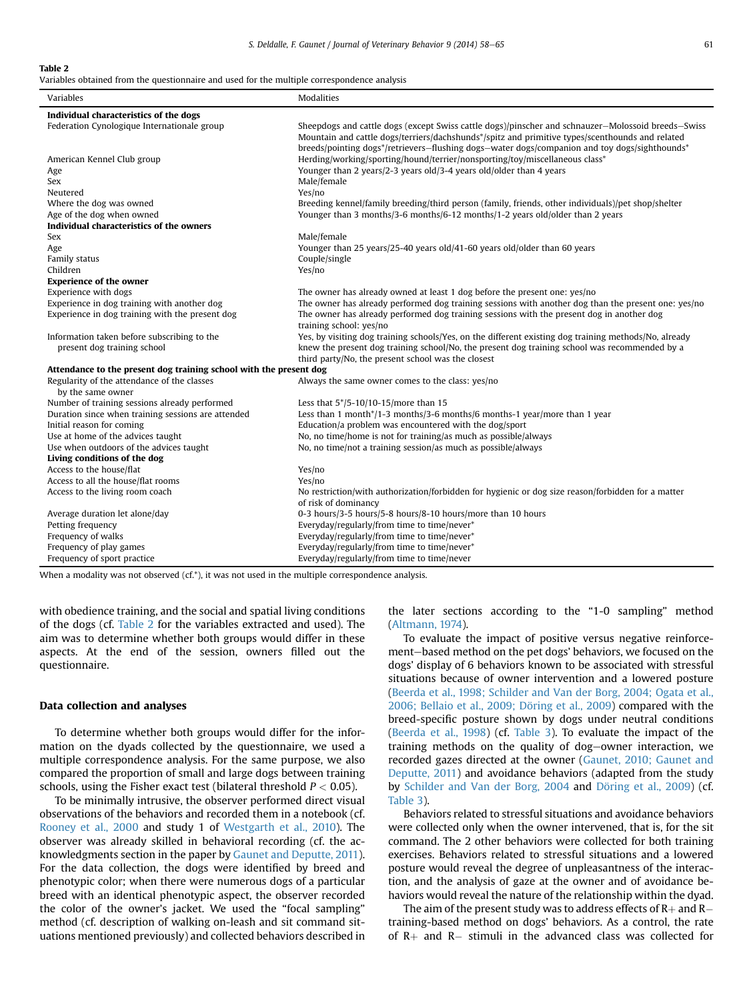#### Table 2

Variables obtained from the questionnaire and used for the multiple correspondence analysis

| Variables                                                                  | <b>Modalities</b>                                                                                                                                                                                                                                                                                      |
|----------------------------------------------------------------------------|--------------------------------------------------------------------------------------------------------------------------------------------------------------------------------------------------------------------------------------------------------------------------------------------------------|
| Individual characteristics of the dogs                                     |                                                                                                                                                                                                                                                                                                        |
| Federation Cynologique Internationale group                                | Sheepdogs and cattle dogs (except Swiss cattle dogs)/pinscher and schnauzer-Molossoid breeds-Swiss<br>Mountain and cattle dogs/terriers/dachshunds*/spitz and primitive types/scenthounds and related<br>breeds/pointing dogs*/retrievers-flushing dogs-water dogs/companion and toy dogs/sighthounds* |
| American Kennel Club group                                                 | Herding/working/sporting/hound/terrier/nonsporting/toy/miscellaneous class*                                                                                                                                                                                                                            |
| Age                                                                        | Younger than 2 years/2-3 years old/3-4 years old/older than 4 years                                                                                                                                                                                                                                    |
| <b>Sex</b>                                                                 | Male/female                                                                                                                                                                                                                                                                                            |
| Neutered                                                                   | Yes/no                                                                                                                                                                                                                                                                                                 |
| Where the dog was owned                                                    | Breeding kennel/family breeding/third person (family, friends, other individuals)/pet shop/shelter                                                                                                                                                                                                     |
| Age of the dog when owned                                                  | Younger than 3 months/3-6 months/6-12 months/1-2 years old/older than 2 years                                                                                                                                                                                                                          |
| Individual characteristics of the owners                                   |                                                                                                                                                                                                                                                                                                        |
| Sex                                                                        | Male/female                                                                                                                                                                                                                                                                                            |
| Age                                                                        | Younger than 25 years/25-40 years old/41-60 years old/older than 60 years                                                                                                                                                                                                                              |
| Family status                                                              | Couple/single                                                                                                                                                                                                                                                                                          |
| Children                                                                   | Yes/no                                                                                                                                                                                                                                                                                                 |
| <b>Experience of the owner</b>                                             |                                                                                                                                                                                                                                                                                                        |
| Experience with dogs                                                       | The owner has already owned at least 1 dog before the present one: yes/no                                                                                                                                                                                                                              |
| Experience in dog training with another dog                                | The owner has already performed dog training sessions with another dog than the present one: yes/no                                                                                                                                                                                                    |
| Experience in dog training with the present dog                            | The owner has already performed dog training sessions with the present dog in another dog<br>training school: yes/no                                                                                                                                                                                   |
| Information taken before subscribing to the<br>present dog training school | Yes, by visiting dog training schools/Yes, on the different existing dog training methods/No, already<br>knew the present dog training school/No, the present dog training school was recommended by a                                                                                                 |
|                                                                            | third party/No, the present school was the closest                                                                                                                                                                                                                                                     |
| Attendance to the present dog training school with the present dog         |                                                                                                                                                                                                                                                                                                        |
| Regularity of the attendance of the classes                                | Always the same owner comes to the class: yes/no                                                                                                                                                                                                                                                       |
| by the same owner                                                          |                                                                                                                                                                                                                                                                                                        |
| Number of training sessions already performed                              | Less that 5*/5-10/10-15/more than 15                                                                                                                                                                                                                                                                   |
| Duration since when training sessions are attended                         | Less than 1 month*/1-3 months/3-6 months/6 months-1 year/more than 1 year                                                                                                                                                                                                                              |
| Initial reason for coming                                                  | Education/a problem was encountered with the dog/sport                                                                                                                                                                                                                                                 |
| Use at home of the advices taught                                          | No, no time/home is not for training/as much as possible/always                                                                                                                                                                                                                                        |
| Use when outdoors of the advices taught                                    | No, no time/not a training session/as much as possible/always                                                                                                                                                                                                                                          |
| Living conditions of the dog                                               |                                                                                                                                                                                                                                                                                                        |
| Access to the house/flat                                                   | Yes/no                                                                                                                                                                                                                                                                                                 |
| Access to all the house/flat rooms                                         | Yes/no                                                                                                                                                                                                                                                                                                 |
| Access to the living room coach                                            | No restriction/with authorization/forbidden for hygienic or dog size reason/forbidden for a matter<br>of risk of dominancy                                                                                                                                                                             |
| Average duration let alone/day                                             | 0-3 hours/3-5 hours/5-8 hours/8-10 hours/more than 10 hours                                                                                                                                                                                                                                            |
| Petting frequency                                                          | Everyday/regularly/from time to time/never*                                                                                                                                                                                                                                                            |
| Frequency of walks                                                         | Everyday/regularly/from time to time/never*                                                                                                                                                                                                                                                            |
| Frequency of play games                                                    | Everyday/regularly/from time to time/never*                                                                                                                                                                                                                                                            |
| Frequency of sport practice                                                | Everyday/regularly/from time to time/never                                                                                                                                                                                                                                                             |

When a modality was not observed (cf.\*), it was not used in the multiple correspondence analysis.

with obedience training, and the social and spatial living conditions of the dogs (cf. Table 2 for the variables extracted and used). The aim was to determine whether both groups would differ in these aspects. At the end of the session, owners filled out the questionnaire.

#### Data collection and analyses

To determine whether both groups would differ for the information on the dyads collected by the questionnaire, we used a multiple correspondence analysis. For the same purpose, we also compared the proportion of small and large dogs between training schools, using the Fisher exact test (bilateral threshold  $P < 0.05$ ).

To be minimally intrusive, the observer performed direct visual observations of the behaviors and recorded them in a notebook (cf. [Rooney et al., 2000](#page-7-0) and study 1 of [Westgarth et al., 2010\)](#page-7-0). The observer was already skilled in behavioral recording (cf. the acknowledgments section in the paper by [Gaunet and Deputte, 2011](#page-7-0)). For the data collection, the dogs were identified by breed and phenotypic color; when there were numerous dogs of a particular breed with an identical phenotypic aspect, the observer recorded the color of the owner's jacket. We used the "focal sampling" method (cf. description of walking on-leash and sit command situations mentioned previously) and collected behaviors described in the later sections according to the "1-0 sampling" method [\(Altmann, 1974](#page-7-0)).

To evaluate the impact of positive versus negative reinforcement-based method on the pet dogs' behaviors, we focused on the dogs' display of 6 behaviors known to be associated with stressful situations because of owner intervention and a lowered posture [\(Beerda et al., 1998; Schilder and Van der Borg, 2004; Ogata et al.,](#page-7-0) [2006; Bellaio et al., 2009; Döring et al., 2009\)](#page-7-0) compared with the breed-specific posture shown by dogs under neutral conditions [\(Beerda et al., 1998](#page-7-0)) (cf. [Table 3](#page-4-0)). To evaluate the impact of the training methods on the quality of dog-owner interaction, we recorded gazes directed at the owner [\(Gaunet, 2010; Gaunet and](#page-7-0) [Deputte, 2011](#page-7-0)) and avoidance behaviors (adapted from the study by [Schilder and Van der Borg, 2004](#page-7-0) and [Döring et al., 2009](#page-7-0)) (cf. [Table 3](#page-4-0)).

Behaviors related to stressful situations and avoidance behaviors were collected only when the owner intervened, that is, for the sit command. The 2 other behaviors were collected for both training exercises. Behaviors related to stressful situations and a lowered posture would reveal the degree of unpleasantness of the interaction, and the analysis of gaze at the owner and of avoidance behaviors would reveal the nature of the relationship within the dyad.

The aim of the present study was to address effects of R+ and R $$ training-based method on dogs' behaviors. As a control, the rate of  $R+$  and  $R-$  stimuli in the advanced class was collected for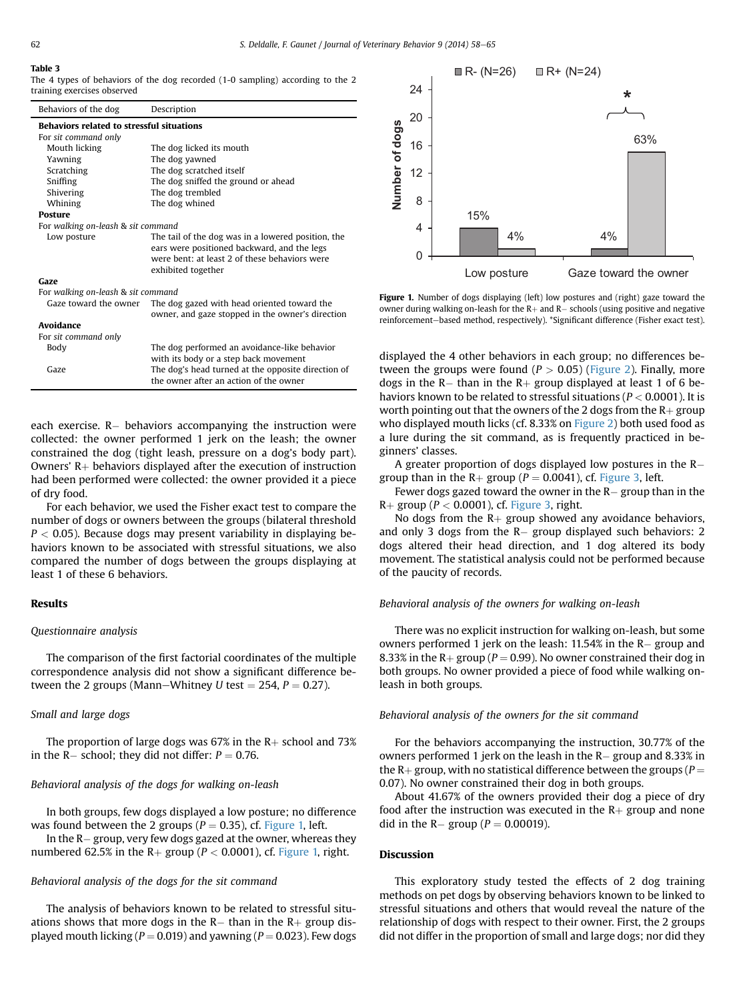#### <span id="page-4-0"></span>Table 3

The 4 types of behaviors of the dog recorded (1-0 sampling) according to the 2 training exercises observed

| Behaviors of the dog                             | Description                                                                                                                                                              |  |  |  |
|--------------------------------------------------|--------------------------------------------------------------------------------------------------------------------------------------------------------------------------|--|--|--|
| <b>Behaviors related to stressful situations</b> |                                                                                                                                                                          |  |  |  |
| For sit command only                             |                                                                                                                                                                          |  |  |  |
| Mouth licking                                    | The dog licked its mouth                                                                                                                                                 |  |  |  |
| Yawning                                          | The dog yawned                                                                                                                                                           |  |  |  |
| Scratching                                       | The dog scratched itself                                                                                                                                                 |  |  |  |
| Sniffing                                         | The dog sniffed the ground or ahead                                                                                                                                      |  |  |  |
| Shivering                                        | The dog trembled                                                                                                                                                         |  |  |  |
| Whining                                          | The dog whined                                                                                                                                                           |  |  |  |
| <b>Posture</b>                                   |                                                                                                                                                                          |  |  |  |
| For walking on-leash & sit command               |                                                                                                                                                                          |  |  |  |
| Low posture                                      | The tail of the dog was in a lowered position, the<br>ears were positioned backward, and the legs<br>were bent: at least 2 of these behaviors were<br>exhibited together |  |  |  |
| Gaze                                             |                                                                                                                                                                          |  |  |  |
| For walking on-leash & sit command               |                                                                                                                                                                          |  |  |  |
| Gaze toward the owner                            | The dog gazed with head oriented toward the<br>owner, and gaze stopped in the owner's direction                                                                          |  |  |  |
| Avoidance                                        |                                                                                                                                                                          |  |  |  |
| For sit command only                             |                                                                                                                                                                          |  |  |  |
| Body                                             | The dog performed an avoidance-like behavior<br>with its body or a step back movement                                                                                    |  |  |  |
| Gaze                                             | The dog's head turned at the opposite direction of<br>the owner after an action of the owner                                                                             |  |  |  |
|                                                  |                                                                                                                                                                          |  |  |  |

each exercise. R– behaviors accompanying the instruction were collected: the owner performed 1 jerk on the leash; the owner constrained the dog (tight leash, pressure on a dog's body part). Owners'  $R+$  behaviors displayed after the execution of instruction had been performed were collected: the owner provided it a piece of dry food.

For each behavior, we used the Fisher exact test to compare the number of dogs or owners between the groups (bilateral threshold  $P < 0.05$ ). Because dogs may present variability in displaying behaviors known to be associated with stressful situations, we also compared the number of dogs between the groups displaying at least 1 of these 6 behaviors.

## Results

#### Questionnaire analysis

The comparison of the first factorial coordinates of the multiple correspondence analysis did not show a significant difference between the 2 groups (Mann–Whitney U test  $= 254$ ,  $P = 0.27$ ).

## Small and large dogs

The proportion of large dogs was 67% in the  $R+$  school and 73% in the R– school; they did not differ:  $P = 0.76$ .

## Behavioral analysis of the dogs for walking on-leash

In both groups, few dogs displayed a low posture; no difference was found between the 2 groups ( $P = 0.35$ ), cf. Figure 1, left.

In the  $R-$  group, very few dogs gazed at the owner, whereas they numbered 62.5% in the R+ group ( $P < 0.0001$ ), cf. Figure 1, right.

#### Behavioral analysis of the dogs for the sit command

The analysis of behaviors known to be related to stressful situations shows that more dogs in the  $R-$  than in the  $R+$  group displayed mouth licking ( $P = 0.019$ ) and yawning ( $P = 0.023$ ). Few dogs



Figure 1. Number of dogs displaying (left) low postures and (right) gaze toward the owner during walking on-leash for the R $+$  and R $-$  schools (using positive and negative reinforcement-based method, respectively). \*Significant difference (Fisher exact test).

displayed the 4 other behaviors in each group; no differences between the groups were found ( $P > 0.05$ ) ([Figure 2\)](#page-5-0). Finally, more dogs in the R– than in the R+ group displayed at least 1 of 6 behaviors known to be related to stressful situations ( $P < 0.0001$ ). It is worth pointing out that the owners of the 2 dogs from the  $R+$  group who displayed mouth licks (cf. 8.33% on [Figure 2\)](#page-5-0) both used food as a lure during the sit command, as is frequently practiced in beginners' classes.

A greater proportion of dogs displayed low postures in the R group than in the R+ group ( $P = 0.0041$ ), cf. [Figure 3,](#page-5-0) left.

Fewer dogs gazed toward the owner in the  $R-$  group than in the  $R+$  group ( $P < 0.0001$ ), cf. [Figure 3,](#page-5-0) right.

No dogs from the  $R+$  group showed any avoidance behaviors, and only 3 dogs from the R– group displayed such behaviors: 2 dogs altered their head direction, and 1 dog altered its body movement. The statistical analysis could not be performed because of the paucity of records.

#### Behavioral analysis of the owners for walking on-leash

There was no explicit instruction for walking on-leash, but some owners performed 1 jerk on the leash: 11.54% in the R- group and 8.33% in the R+ group ( $P = 0.99$ ). No owner constrained their dog in both groups. No owner provided a piece of food while walking onleash in both groups.

## Behavioral analysis of the owners for the sit command

For the behaviors accompanying the instruction, 30.77% of the owners performed 1 jerk on the leash in the  $R-$  group and 8.33% in the R+ group, with no statistical difference between the groups (P  $=$ 0.07). No owner constrained their dog in both groups.

About 41.67% of the owners provided their dog a piece of dry food after the instruction was executed in the  $R+$  group and none did in the R– group ( $P = 0.00019$ ).

# Discussion

This exploratory study tested the effects of 2 dog training methods on pet dogs by observing behaviors known to be linked to stressful situations and others that would reveal the nature of the relationship of dogs with respect to their owner. First, the 2 groups did not differ in the proportion of small and large dogs; nor did they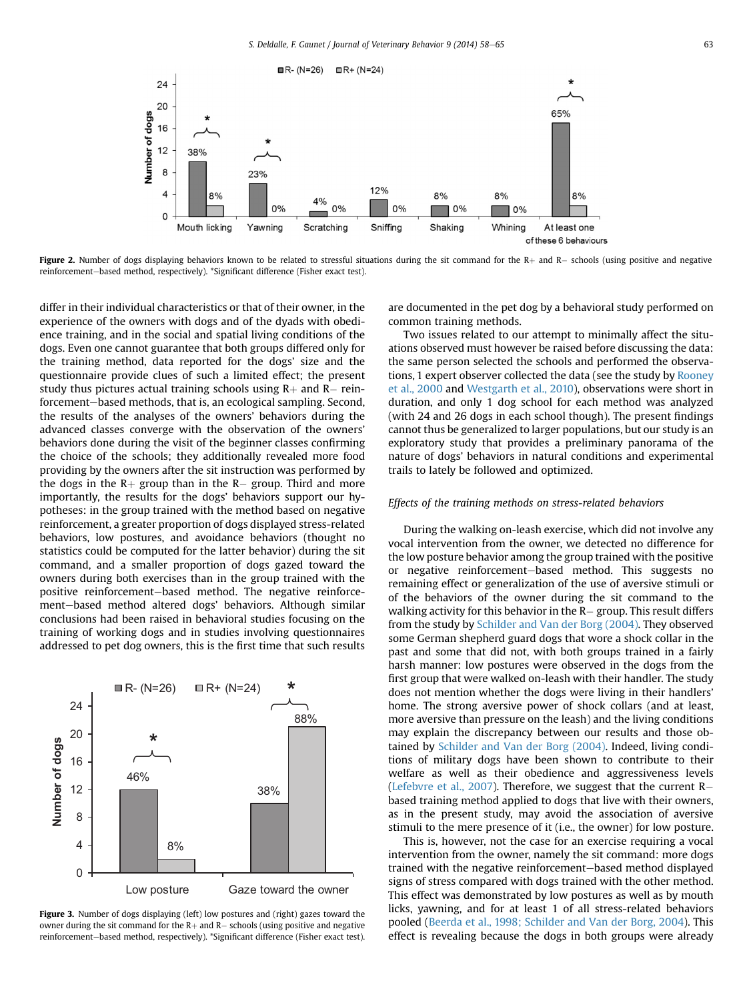<span id="page-5-0"></span>

**Figure 2.** Number of dogs displaying behaviors known to be related to stressful situations during the sit command for the  $R+$  and  $R-$  schools (using positive and negative reinforcement-based method, respectively). \*Significant difference (Fisher exact test).

differ in their individual characteristics or that of their owner, in the experience of the owners with dogs and of the dyads with obedience training, and in the social and spatial living conditions of the dogs. Even one cannot guarantee that both groups differed only for the training method, data reported for the dogs' size and the questionnaire provide clues of such a limited effect; the present study thus pictures actual training schools using  $R+$  and  $R-$  reinforcement-based methods, that is, an ecological sampling. Second, the results of the analyses of the owners' behaviors during the advanced classes converge with the observation of the owners' behaviors done during the visit of the beginner classes confirming the choice of the schools; they additionally revealed more food providing by the owners after the sit instruction was performed by the dogs in the  $R+$  group than in the  $R-$  group. Third and more importantly, the results for the dogs' behaviors support our hypotheses: in the group trained with the method based on negative reinforcement, a greater proportion of dogs displayed stress-related behaviors, low postures, and avoidance behaviors (thought no statistics could be computed for the latter behavior) during the sit command, and a smaller proportion of dogs gazed toward the owners during both exercises than in the group trained with the positive reinforcement-based method. The negative reinforcement-based method altered dogs' behaviors. Although similar conclusions had been raised in behavioral studies focusing on the training of working dogs and in studies involving questionnaires addressed to pet dog owners, this is the first time that such results



Figure 3. Number of dogs displaying (left) low postures and (right) gazes toward the owner during the sit command for the R $+$  and R $-$  schools (using positive and negative reinforcement-based method, respectively). \*Significant difference (Fisher exact test).

are documented in the pet dog by a behavioral study performed on common training methods.

Two issues related to our attempt to minimally affect the situations observed must however be raised before discussing the data: the same person selected the schools and performed the observations, 1 expert observer collected the data (see the study by [Rooney](#page-7-0) [et al., 2000](#page-7-0) and [Westgarth et al., 2010\)](#page-7-0), observations were short in duration, and only 1 dog school for each method was analyzed (with 24 and 26 dogs in each school though). The present findings cannot thus be generalized to larger populations, but our study is an exploratory study that provides a preliminary panorama of the nature of dogs' behaviors in natural conditions and experimental trails to lately be followed and optimized.

#### Effects of the training methods on stress-related behaviors

During the walking on-leash exercise, which did not involve any vocal intervention from the owner, we detected no difference for the low posture behavior among the group trained with the positive or negative reinforcement-based method. This suggests no remaining effect or generalization of the use of aversive stimuli or of the behaviors of the owner during the sit command to the walking activity for this behavior in the  $R-$  group. This result differs from the study by [Schilder and Van der Borg \(2004\).](#page-7-0) They observed some German shepherd guard dogs that wore a shock collar in the past and some that did not, with both groups trained in a fairly harsh manner: low postures were observed in the dogs from the first group that were walked on-leash with their handler. The study does not mention whether the dogs were living in their handlers' home. The strong aversive power of shock collars (and at least, more aversive than pressure on the leash) and the living conditions may explain the discrepancy between our results and those obtained by [Schilder and Van der Borg \(2004\)](#page-7-0). Indeed, living conditions of military dogs have been shown to contribute to their welfare as well as their obedience and aggressiveness levels [\(Lefebvre et al., 2007](#page-7-0)). Therefore, we suggest that the current  $R$ based training method applied to dogs that live with their owners, as in the present study, may avoid the association of aversive stimuli to the mere presence of it (i.e., the owner) for low posture.

This is, however, not the case for an exercise requiring a vocal intervention from the owner, namely the sit command: more dogs trained with the negative reinforcement-based method displayed signs of stress compared with dogs trained with the other method. This effect was demonstrated by low postures as well as by mouth licks, yawning, and for at least 1 of all stress-related behaviors pooled ([Beerda et al., 1998; Schilder and Van der Borg, 2004](#page-7-0)). This effect is revealing because the dogs in both groups were already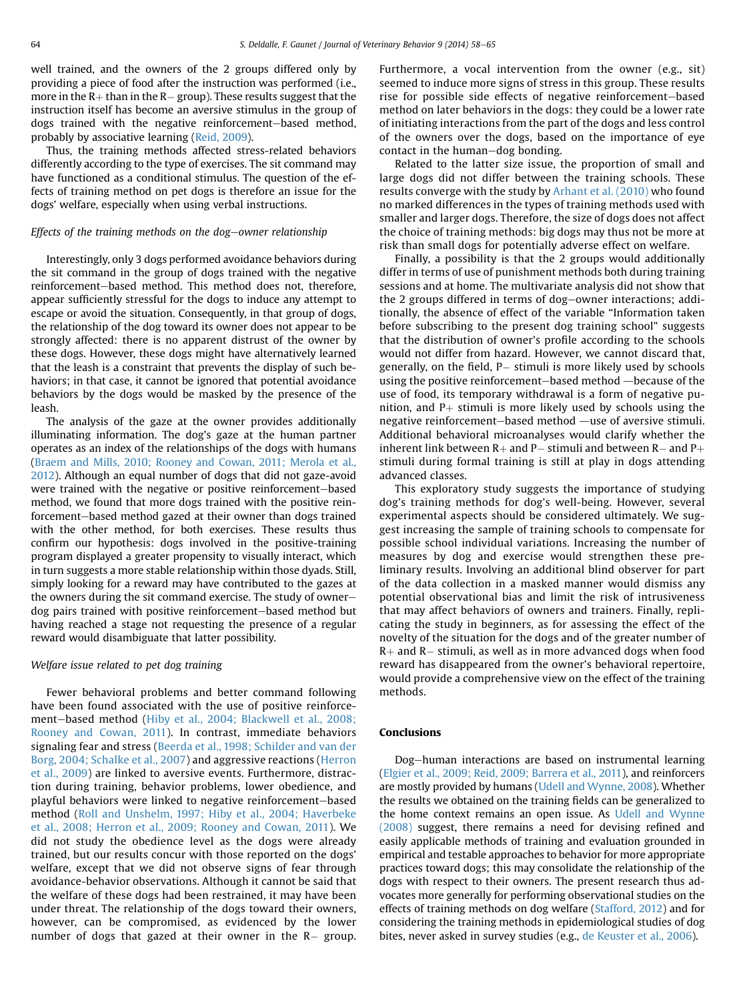well trained, and the owners of the 2 groups differed only by providing a piece of food after the instruction was performed (i.e., more in the  $R+$  than in the  $R-$  group). These results suggest that the instruction itself has become an aversive stimulus in the group of dogs trained with the negative reinforcement-based method, probably by associative learning [\(Reid, 2009](#page-7-0)).

Thus, the training methods affected stress-related behaviors differently according to the type of exercises. The sit command may have functioned as a conditional stimulus. The question of the effects of training method on pet dogs is therefore an issue for the dogs' welfare, especially when using verbal instructions.

## Effects of the training methods on the dog-owner relationship

Interestingly, only 3 dogs performed avoidance behaviors during the sit command in the group of dogs trained with the negative reinforcement-based method. This method does not, therefore, appear sufficiently stressful for the dogs to induce any attempt to escape or avoid the situation. Consequently, in that group of dogs, the relationship of the dog toward its owner does not appear to be strongly affected: there is no apparent distrust of the owner by these dogs. However, these dogs might have alternatively learned that the leash is a constraint that prevents the display of such behaviors; in that case, it cannot be ignored that potential avoidance behaviors by the dogs would be masked by the presence of the leash.

The analysis of the gaze at the owner provides additionally illuminating information. The dog's gaze at the human partner operates as an index of the relationships of the dogs with humans ([Braem and Mills, 2010; Rooney and Cowan, 2011; Merola et al.,](#page-7-0) [2012](#page-7-0)). Although an equal number of dogs that did not gaze-avoid were trained with the negative or positive reinforcement-based method, we found that more dogs trained with the positive reinforcement-based method gazed at their owner than dogs trained with the other method, for both exercises. These results thus confirm our hypothesis: dogs involved in the positive-training program displayed a greater propensity to visually interact, which in turn suggests a more stable relationship within those dyads. Still, simply looking for a reward may have contributed to the gazes at the owners during the sit command exercise. The study of ownerdog pairs trained with positive reinforcement-based method but having reached a stage not requesting the presence of a regular reward would disambiguate that latter possibility.

#### Welfare issue related to pet dog training

Fewer behavioral problems and better command following have been found associated with the use of positive reinforce-ment-based method [\(Hiby et al., 2004; Blackwell et al., 2008;](#page-7-0) [Rooney and Cowan, 2011\)](#page-7-0). In contrast, immediate behaviors signaling fear and stress ([Beerda et al., 1998; Schilder and van der](#page-7-0) [Borg, 2004; Schalke et al., 2007\)](#page-7-0) and aggressive reactions [\(Herron](#page-7-0) [et al., 2009\)](#page-7-0) are linked to aversive events. Furthermore, distraction during training, behavior problems, lower obedience, and playful behaviors were linked to negative reinforcement-based method ([Roll and Unshelm, 1997; Hiby et al., 2004; Haverbeke](#page-7-0) [et al., 2008; Herron et al., 2009; Rooney and Cowan, 2011\)](#page-7-0). We did not study the obedience level as the dogs were already trained, but our results concur with those reported on the dogs' welfare, except that we did not observe signs of fear through avoidance-behavior observations. Although it cannot be said that the welfare of these dogs had been restrained, it may have been under threat. The relationship of the dogs toward their owners, however, can be compromised, as evidenced by the lower number of dogs that gazed at their owner in the R– group.

Furthermore, a vocal intervention from the owner (e.g., sit) seemed to induce more signs of stress in this group. These results rise for possible side effects of negative reinforcement-based method on later behaviors in the dogs: they could be a lower rate of initiating interactions from the part of the dogs and less control of the owners over the dogs, based on the importance of eye contact in the human-dog bonding.

Related to the latter size issue, the proportion of small and large dogs did not differ between the training schools. These results converge with the study by [Arhant et al. \(2010\)](#page-7-0) who found no marked differences in the types of training methods used with smaller and larger dogs. Therefore, the size of dogs does not affect the choice of training methods: big dogs may thus not be more at risk than small dogs for potentially adverse effect on welfare.

Finally, a possibility is that the 2 groups would additionally differ in terms of use of punishment methods both during training sessions and at home. The multivariate analysis did not show that the 2 groups differed in terms of dog-owner interactions; additionally, the absence of effect of the variable "Information taken before subscribing to the present dog training school" suggests that the distribution of owner's profile according to the schools would not differ from hazard. However, we cannot discard that, generally, on the field, P- stimuli is more likely used by schools using the positive reinforcement-based method -because of the use of food, its temporary withdrawal is a form of negative punition, and  $P+$  stimuli is more likely used by schools using the negative reinforcement-based method —use of aversive stimuli. Additional behavioral microanalyses would clarify whether the inherent link between R+ and P– stimuli and between R– and P+ stimuli during formal training is still at play in dogs attending advanced classes.

This exploratory study suggests the importance of studying dog's training methods for dog's well-being. However, several experimental aspects should be considered ultimately. We suggest increasing the sample of training schools to compensate for possible school individual variations. Increasing the number of measures by dog and exercise would strengthen these preliminary results. Involving an additional blind observer for part of the data collection in a masked manner would dismiss any potential observational bias and limit the risk of intrusiveness that may affect behaviors of owners and trainers. Finally, replicating the study in beginners, as for assessing the effect of the novelty of the situation for the dogs and of the greater number of  $R+$  and  $R-$  stimuli, as well as in more advanced dogs when food reward has disappeared from the owner's behavioral repertoire, would provide a comprehensive view on the effect of the training methods.

## Conclusions

Dog-human interactions are based on instrumental learning ([Elgier et al., 2009; Reid, 2009; Barrera et al., 2011](#page-7-0)), and reinforcers are mostly provided by humans ([Udell and Wynne, 2008\)](#page-7-0). Whether the results we obtained on the training fields can be generalized to the home context remains an open issue. As [Udell and Wynne](#page-7-0) [\(2008\)](#page-7-0) suggest, there remains a need for devising refined and easily applicable methods of training and evaluation grounded in empirical and testable approaches to behavior for more appropriate practices toward dogs; this may consolidate the relationship of the dogs with respect to their owners. The present research thus advocates more generally for performing observational studies on the effects of training methods on dog welfare [\(Stafford, 2012\)](#page-7-0) and for considering the training methods in epidemiological studies of dog bites, never asked in survey studies (e.g., [de Keuster et al., 2006](#page-7-0)).